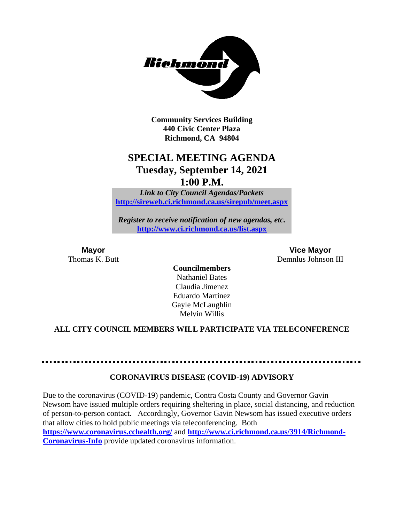

**Community Services Building 440 Civic Center Plaza Richmond, CA 94804**

# **SPECIAL MEETING AGENDA Tuesday, September 14, 2021 1:00 P.M.**

*Link to City Council Agendas/Packets* **<http://sireweb.ci.richmond.ca.us/sirepub/meet.aspx>**

*Register to receive notification of new agendas, etc.* **<http://www.ci.richmond.ca.us/list.aspx>**

**Mayor Vice Mayor** Thomas K. Butt **Demnlus Johnson III** 

> **Councilmembers** Nathaniel Bates Claudia Jimenez Eduardo Martinez Gayle McLaughlin Melvin Willis

### **ALL CITY COUNCIL MEMBERS WILL PARTICIPATE VIA TELECONFERENCE**

### **CORONAVIRUS DISEASE (COVID-19) ADVISORY**

Due to the coronavirus (COVID-19) pandemic, Contra Costa County and Governor Gavin Newsom have issued multiple orders requiring sheltering in place, social distancing, and reduction of person-to-person contact. Accordingly, Governor Gavin Newsom has issued executive orders that allow cities to hold public meetings via teleconferencing. Both **<https://www.coronavirus.cchealth.org/>** and **[http://www.ci.richmond.ca.us/3914/Richmond-](http://www.ci.richmond.ca.us/3914/Richmond-Coronavirus-Info)**

**[Coronavirus-Info](http://www.ci.richmond.ca.us/3914/Richmond-Coronavirus-Info)** provide updated coronavirus information.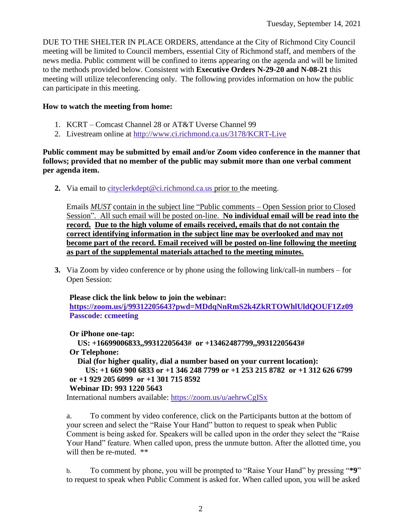DUE TO THE SHELTER IN PLACE ORDERS, attendance at the City of Richmond City Council meeting will be limited to Council members, essential City of Richmond staff, and members of the news media. Public comment will be confined to items appearing on the agenda and will be limited to the methods provided below. Consistent with **Executive Orders N-29-20 and N-08-21** this meeting will utilize teleconferencing only. The following provides information on how the public can participate in this meeting.

## **How to watch the meeting from home:**

- 1. KCRT Comcast Channel 28 or AT&T Uverse Channel 99
- 2. Livestream online at<http://www.ci.richmond.ca.us/3178/KCRT-Live>

**Public comment may be submitted by email and/or Zoom video conference in the manner that follows; provided that no member of the public may submit more than one verbal comment per agenda item.** 

**2.** Via email to [cityclerkdept@ci.richmond.ca.us](mailto:cityclerkdept@ci.richmond.ca.us) prior to the meeting.

Emails *MUST* contain in the subject line "Public comments – Open Session prior to Closed Session". All such email will be posted on-line. **No individual email will be read into the record. Due to the high volume of emails received, emails that do not contain the correct identifying information in the subject line may be overlooked and may not become part of the record. Email received will be posted on-line following the meeting as part of the supplemental materials attached to the meeting minutes.**

**3.** Via Zoom by video conference or by phone using the following link/call-in numbers – for Open Session:

**Please click the link below to join the webinar: <https://zoom.us/j/99312205643?pwd=MDdqNnRmS2k4ZkRTOWhlUldQOUF1Zz09> Passcode: ccmeeting**

**Or iPhone one-tap: US: +16699006833,,99312205643# or +13462487799,,99312205643# Or Telephone: Dial (for higher quality, dial a number based on your current location): US: +1 669 900 6833 or +1 346 248 7799 or +1 253 215 8782 or +1 312 626 6799 or +1 929 205 6099 or +1 301 715 8592 Webinar ID: 993 1220 5643** International numbers available: <https://zoom.us/u/aehrwCgISx>

a. To comment by video conference, click on the Participants button at the bottom of your screen and select the "Raise Your Hand" button to request to speak when Public Comment is being asked for. Speakers will be called upon in the order they select the "Raise Your Hand" feature. When called upon, press the unmute button. After the allotted time, you will then be re-muted.  $**$ 

b. To comment by phone, you will be prompted to "Raise Your Hand" by pressing "**\*9**" to request to speak when Public Comment is asked for. When called upon, you will be asked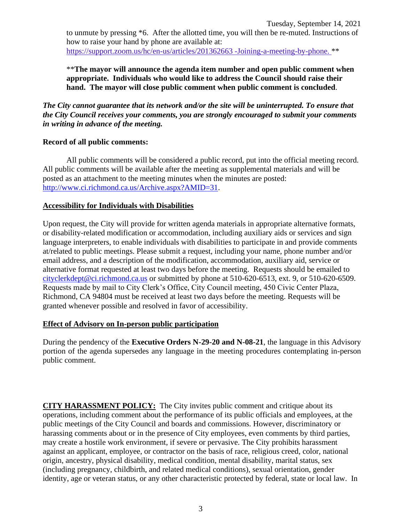to unmute by pressing \*6. After the allotted time, you will then be re-muted. Instructions of how to raise your hand by phone are available at: [https://support.zoom.us/hc/en-us/articles/201362663 -Joining-a-meeting-by-phone.](https://support.zoom.us/hc/en-us/articles/201362663) \*\*

\*\***The mayor will announce the agenda item number and open public comment when appropriate. Individuals who would like to address the Council should raise their hand. The mayor will close public comment when public comment is concluded**.

*The City cannot guarantee that its network and/or the site will be uninterrupted. To ensure that the City Council receives your comments, you are strongly encouraged to submit your comments in writing in advance of the meeting.* 

### **Record of all public comments:**

All public comments will be considered a public record, put into the official meeting record. All public comments will be available after the meeting as supplemental materials and will be posted as an attachment to the meeting minutes when the minutes are posted: [http://www.ci.richmond.ca.us/Archive.aspx?AMID=31.](http://www.ci.richmond.ca.us/Archive.aspx?AMID=31)

### **Accessibility for Individuals with Disabilities**

Upon request, the City will provide for written agenda materials in appropriate alternative formats, or disability-related modification or accommodation, including auxiliary aids or services and sign language interpreters, to enable individuals with disabilities to participate in and provide comments at/related to public meetings. Please submit a request, including your name, phone number and/or email address, and a description of the modification, accommodation, auxiliary aid, service or alternative format requested at least two days before the meeting. Requests should be emailed to [cityclerkdept@ci.richmond.ca.us](mailto:cityclerkdept@ci.richmond.ca.us) or submitted by phone at 510-620-6513, ext. 9, or 510-620-6509. Requests made by mail to City Clerk's Office, City Council meeting, 450 Civic Center Plaza, Richmond, CA 94804 must be received at least two days before the meeting. Requests will be granted whenever possible and resolved in favor of accessibility.

## **Effect of Advisory on In-person public participation**

During the pendency of the **Executive Orders N-29-20 and N-08-21**, the language in this Advisory portion of the agenda supersedes any language in the meeting procedures contemplating in-person public comment.

**CITY HARASSMENT POLICY:** The City invites public comment and critique about its operations, including comment about the performance of its public officials and employees, at the public meetings of the City Council and boards and commissions. However, discriminatory or harassing comments about or in the presence of City employees, even comments by third parties, may create a hostile work environment, if severe or pervasive. The City prohibits harassment against an applicant, employee, or contractor on the basis of race, religious creed, color, national origin, ancestry, physical disability, medical condition, mental disability, marital status, sex (including pregnancy, childbirth, and related medical conditions), sexual orientation, gender identity, age or veteran status, or any other characteristic protected by federal, state or local law. In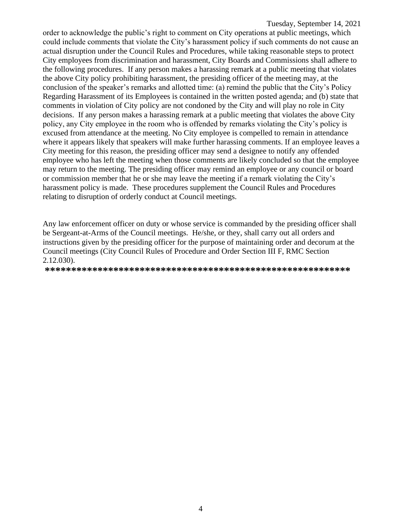order to acknowledge the public's right to comment on City operations at public meetings, which could include comments that violate the City's harassment policy if such comments do not cause an actual disruption under the Council Rules and Procedures, while taking reasonable steps to protect City employees from discrimination and harassment, City Boards and Commissions shall adhere to the following procedures. If any person makes a harassing remark at a public meeting that violates the above City policy prohibiting harassment, the presiding officer of the meeting may, at the conclusion of the speaker's remarks and allotted time: (a) remind the public that the City's Policy Regarding Harassment of its Employees is contained in the written posted agenda; and (b) state that comments in violation of City policy are not condoned by the City and will play no role in City decisions. If any person makes a harassing remark at a public meeting that violates the above City policy, any City employee in the room who is offended by remarks violating the City's policy is excused from attendance at the meeting. No City employee is compelled to remain in attendance where it appears likely that speakers will make further harassing comments. If an employee leaves a City meeting for this reason, the presiding officer may send a designee to notify any offended employee who has left the meeting when those comments are likely concluded so that the employee may return to the meeting. The presiding officer may remind an employee or any council or board or commission member that he or she may leave the meeting if a remark violating the City's harassment policy is made. These procedures supplement the Council Rules and Procedures relating to disruption of orderly conduct at Council meetings.

Any law enforcement officer on duty or whose service is commanded by the presiding officer shall be Sergeant-at-Arms of the Council meetings. He/she, or they, shall carry out all orders and instructions given by the presiding officer for the purpose of maintaining order and decorum at the Council meetings (City Council Rules of Procedure and Order Section III F, RMC Section 2.12.030).

**\*\*\*\*\*\*\*\*\*\*\*\*\*\*\*\*\*\*\*\*\*\*\*\*\*\*\*\*\*\*\*\*\*\*\*\*\*\*\*\*\*\*\*\*\*\*\*\*\*\*\*\*\*\*\*\*\*\***